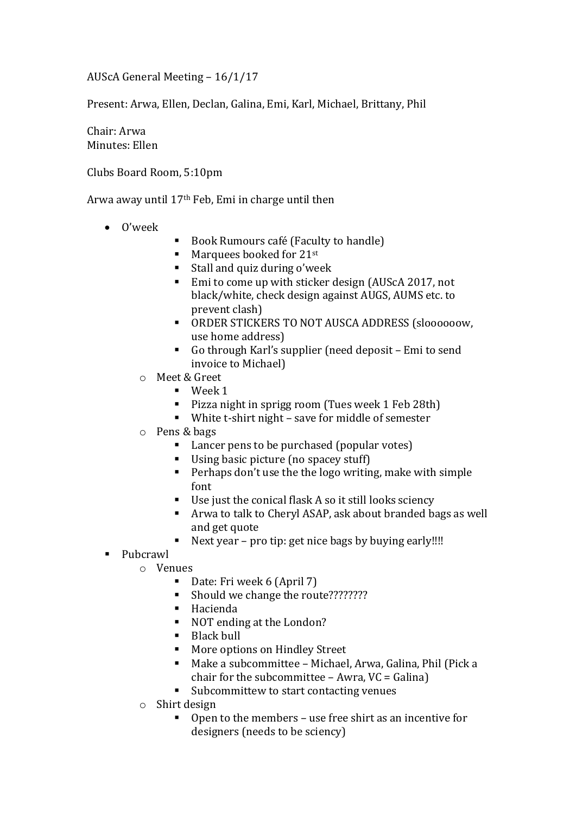AUScA General Meeting – 16/1/17

Present: Arwa, Ellen, Declan, Galina, Emi, Karl, Michael, Brittany, Phil

Chair: Arwa Minutes: Ellen

Clubs Board Room, 5:10pm

Arwa away until 17th Feb, Emi in charge until then

- O'week
- Book Rumours café (Faculty to handle)
- $\blacksquare$  Marquees booked for 21st
- Stall and quiz during o'week
- Emi to come up with sticker design (AUScA 2017, not black/white, check design against AUGS, AUMS etc. to prevent clash)
- ORDER STICKERS TO NOT AUSCA ADDRESS (sloooooow, use home address)
- Go through Karl's supplier (need deposit Emi to send invoice to Michael)
- o Meet & Greet
	- $\blacksquare$  Week 1
	- **Pizza night in sprigg room (Tues week 1 Feb 28th)**
	- White t-shirt night save for middle of semester
- o Pens & bags
	- Lancer pens to be purchased (popular votes)
	- Using basic picture (no spacey stuff)
	- **Perhaps don't use the the logo writing, make with simple** font
	- Use just the conical flask A so it still looks sciency
	- Arwa to talk to Cheryl ASAP, ask about branded bags as well and get quote
	- Next year pro tip: get nice bags by buying early!!!!
- Pubcrawl
	- o Venues
		- Date: Fri week 6 (April 7)
		- Should we change the route????????
		- Hacienda
		- NOT ending at the London?
		- Black bull
		- **More options on Hindley Street**
		- Make a subcommittee Michael, Arwa, Galina, Phil (Pick a chair for the subcommittee  $-$  Awra, VC = Galina)
		- Subcommittew to start contacting venues
	- o Shirt design
		- Open to the members use free shirt as an incentive for designers (needs to be sciency)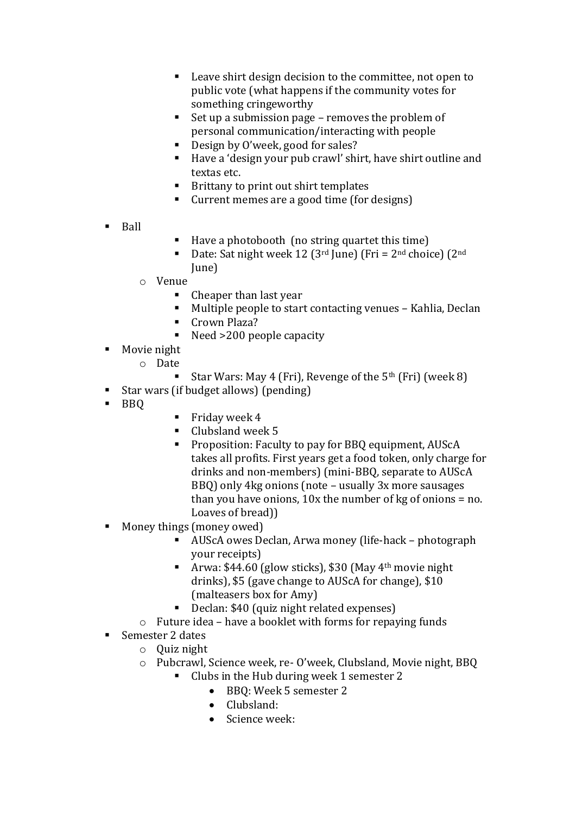- Leave shirt design decision to the committee, not open to public vote (what happens if the community votes for something cringeworthy
- Set up a submission page removes the problem of personal communication/interacting with people
- Design by O'week, good for sales?
- Have a 'design your pub crawl' shirt, have shirt outline and textas etc.
- Brittany to print out shirt templates
- Current memes are a good time (for designs)
- **Ball**
- Have a photobooth (no string quartet this time)
- Date: Sat night week 12 ( $3<sup>rd</sup>$  June) (Fri =  $2<sup>nd</sup>$  choice) ( $2<sup>nd</sup>$ June)
- o Venue
	- Cheaper than last year
	- Multiple people to start contacting venues Kahlia, Declan
	- Crown Plaza?
	- Need >200 people capacity
- Movie night
	- o Date
		- Star Wars: May 4 (Fri), Revenge of the  $5<sup>th</sup>$  (Fri) (week 8)
- Star wars (if budget allows) (pending)
- BBQ
- Friday week  $4$
- $\blacksquare$  Clubsland week 5
- **Proposition: Faculty to pay for BBQ equipment, AUSCA** takes all profits. First years get a food token, only charge for drinks and non-members) (mini-BBQ, separate to AUScA BBQ) only 4kg onions (note – usually 3x more sausages than you have onions,  $10x$  the number of kg of onions = no. Loaves of bread))
- Money things (money owed)
	- AUScA owes Declan, Arwa money (life-hack photograph your receipts)
	- Arwa:  $$44.60$  (glow sticks), \$30 (May 4<sup>th</sup> movie night drinks), \$5 (gave change to AUScA for change), \$10 (malteasers box for Amy)
	- Declan: \$40 (quiz night related expenses)
	- o Future idea have a booklet with forms for repaying funds
- Semester 2 dates
	- o Quiz night
	- o Pubcrawl, Science week, re- O'week, Clubsland, Movie night, BBQ
		- Clubs in the Hub during week 1 semester 2
			- BBQ: Week 5 semester 2
			- Clubsland:
			- Science week: